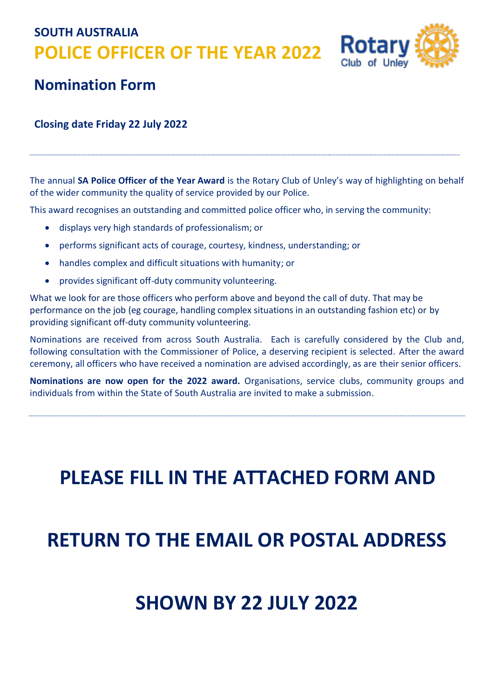**SOUTH AUSTRALIA POLICE OFFICER OF THE YEAR 2022**



#### **Nomination Form**

#### **Closing date Friday 22 July 2022**

The annual **SA Police Officer of the Year Award** is the Rotary Club of Unley's way of highlighting on behalf of the wider community the quality of service provided by our Police.

This award recognises an outstanding and committed police officer who, in serving the community:

- displays very high standards of professionalism; or
- performs significant acts of courage, courtesy, kindness, understanding; or
- handles complex and difficult situations with humanity; or
- provides significant off-duty community volunteering.

What we look for are those officers who perform above and beyond the call of duty. That may be performance on the job (eg courage, handling complex situations in an outstanding fashion etc) or by providing significant off-duty community volunteering.

Nominations are received from across South Australia. Each is carefully considered by the Club and, following consultation with the Commissioner of Police, a deserving recipient is selected. After the award ceremony, all officers who have received a nomination are advised accordingly, as are their senior officers.

**Nominations are now open for the 2022 award.** Organisations, service clubs, community groups and individuals from within the State of South Australia are invited to make a submission.

# **PLEASE FILL IN THE ATTACHED FORM AND**

## **RETURN TO THE EMAIL OR POSTAL ADDRESS**

### **SHOWN BY 22 JULY 2022**